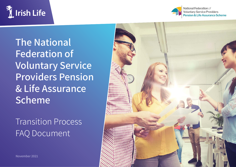



National Federation of **Voluntary Service Providers** Pension & Life Assurance Scheme

**The National Federation of Voluntary Service Providers Pension & Life Assurance Scheme**

# Transition Process FAQ Document



**November 2021**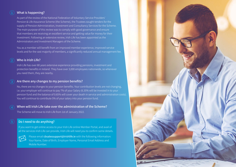## **What is happening?**

As part of the review of the National Federation of Voluntary Service Providers' Pension & Life Assurance Scheme (the Scheme), the Trustees sought tenders for the supply of Pension Administration, Investment and Consultancy Services for the Scheme. The main purpose of this review was to comply with good governance and ensure that members are receiving an excellent service and getting value for money for their investment. Following an extensive review, Irish Life has been appointed as the Administrators and Investment Managers of the Scheme.

You as a member will benefit from an improved member experience, improved service levels and for the vast majority of members, a significantly reduced annual management fee.

## **Who is Irish Life?**

Irish Life has over 80 years extensive experience providing pensions, investment and protection benefits in Ireland. They have over 3,000 employees nationwide, so whenever you need them, they are nearby.

## **Are there any changes to my pension benefits?**

No, there are no changes to your pension benefits. Your contribution levels are not changing, i.e. your employer will continue to pay 7% of your Salary (6.35% will be invested in to your pension fund and the balance of 0.65% will cover your death in service and administration costs). You will continue to contribute 5% of your salary into your pension fund.

**When will Irish Life take over the administration of the Scheme?**  The Scheme will move to Irish Life from 1st of January 2022.

## **Do I need to do anything?**

If you want to get online access to your Irish Life online Member Portal, and avail of all the services Irish Life can provide, Irish Life will need you to confirm some details.



Please email cbsalessupport@irishlife.ie with the following information: Your Name, Date of Birth, Employer Name, Personal Email Address and Mobile Number.

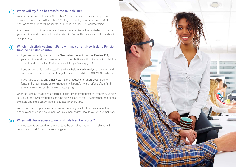#### **When will my fund be transferred to Irish Life? 6**

Your pension contributions for November 2021 will be paid to the current pension provider, New Ireland, in December 2021, by your employer. Your December 2021 pension contributions will be sent to Irish Life in January 2022 for processing.

After these contributions have been invested, an exercise will be carried out to transfer your pension fund from New Ireland to Irish Life. You will be advised about this when it is happening.

#### **Which Irish Life Investment Fund will my current New Ireland Pension fund be transferred into? 7**

- > If you are currently invested in the **New Ireland default fund i.e. Passive IRIS**, your pension fund, and ongoing pension contributions, will be invested in Irish Life's default fund i.e., the EMPOWER Personal Lifestyle Strategy (PLS).
- > If you are currently fully invested in the **New Ireland Cash fund**, your pension fund, and ongoing pension contributions, will transfer to Irish Life's EMPOWER Cash fund.
- > If you have selected **any other New Ireland investment fund(s)**, your pension fund, and ongoing pension contributions, will transfer to Irish Life's default fund, the EMPOWER Personal Lifestyle Strategy (PLS).

Once the Scheme has been transferred to Irish Life and your personal records have been set up, you can switch your pension fund between any of the 7 investment fund options available under the Scheme and at any stage in the future.

You will receive a separate communication outlining details of the investment fund options available and how to make an investment switch, should you wish to make one.

## **When will I have access to my Irish Life Member Portal?**

**8**

Online access is expected to be available at the end of February 2022. Irish Life will contact you to advise when you can register.

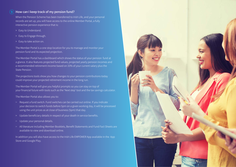#### **How can I keep track of my pension fund? 9**

When the Pension Scheme has been transferred to Irish Life, and your personal records are set up, you will have access to the online Member Portal, a fully interactive pension experience that is:

- > Easy to Understand.
- > Easy to Engage through.
- > Easy to take action on.

The Member Portal is a one stop location for you to manage and monitor your pension fund and its expected projection.

The Member Portal has a dashboard which shows the status of your pension fund at a glance. It also features projected fund values, projected yearly pension incomes and a recommended retirement income based on 33% of your current salary plus the State Pension.

The projections tools show you how changes to your pension contributions today could improve your projected retirement income in the long run.

The Member Portal will give you helpful prompts so you can stay on top of your financial future with tools such as the 'Next step' tool and the tax savings calculator.

The Member Portal also allows you to:

- > Request a fund switch. Fund switches can be carried out online. If you indicate your decision to switch funds before 5pm on a given working day, it will be processed using the unit prices as at close of business (5pm) that day.
- > Update beneficiary details in respect of your death in service benefits.
- > Update your personal details.
- > All literature including Member Booklets, Benefit Statements and Fund Fact Sheets are available to view and download online.

In addition you will also have access to the Irish Life EMPOWER App available in the App Store and Google Play.

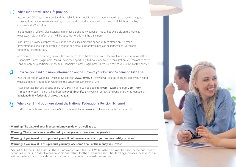#### **What support will Irish Life provide? 10**

As soon as COVID restrictions are lifted the Irish Life Team look forward to meeting you in person, either at group presentations or at one to one meetings. In the interim this document will assist you in highlighting the key changes in the Transition.

In addition Irish Life will also design and manage a transition webpage. This will be available on the fedvol.ie website. All relevant information will be updated here during the transition.

Irish Life will provide comprehensive support to you, including the opportunity to attend online group presentations, as well as dedicated telephone and email support from pension experts, which is available throughout the transition.

As a member of the Scheme, you will also have access to Irish Life's nationwide team of Financial Advisors and their Financial Wellness Programme. You will have the opportunity to have a one-to-one consultation. You can opt to cover Pension only or to participate in the full Financial Wellness Programme. There is no cost to you to avail of this service.

#### **How can you find out more information on the move of your Pension Scheme to Irish Life? 11**

Visit the Transition Webpage, which is available on **www.fedvol.ie**.Here you will be able to access some very helpful videos and other information relating to the Scheme moving to Irish Life.

Please contact Irish Life directly on **01 704 1845**. This line will be open from 9am – 12pm and from **2pm – 4pm Monday to Friday**. Their email address is **fedvol@irishlife.ie**. Or you can contact the Pension Scheme Manager at **pensionadmin@fedvol.ie** or on **091 792 316**.

#### **Where can I find out more about the National Federation's Pension Scheme? 12**

Further information on your Pension Scheme is available on **www.fedvol.ie** (click on the Pension Tab).

## **Warning: The value of your investment may go down as well as up.**

**Warning: These funds may be affected by changes in currency exchange rates.**

**Warning: If you invest in this product you will not have any access to your money until you retire.**

**Warning: If you invest in this product you may lose some or all of the money you invest.**

Securities Lending: The assets in these funds (apart from the EMPOWER Cash Fund) may be used for the purposes of securities lending in order to earn an additional return for the fund. While securities lending increases the level of risk within the fund it also provides an opportunity to increase the investment return.